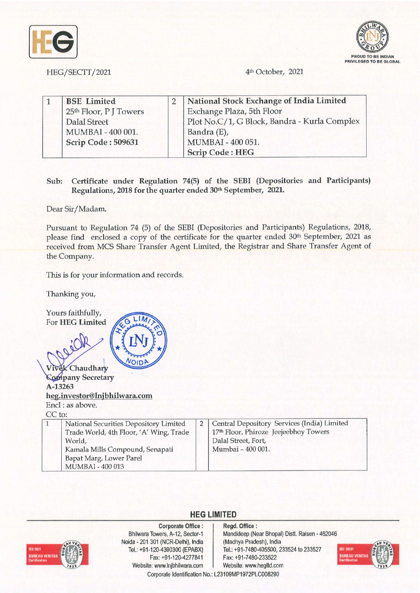



HEG/SECTT/2021 4<sup>th</sup> October, 2021

|  | <b>BSE</b> Limited     | National Stock Exchange of India Limited     |
|--|------------------------|----------------------------------------------|
|  | 25th Floor, P J Towers | Exchange Plaza, 5th Floor                    |
|  | Dalal Street           | Plot No.C/1, G Block, Bandra - Kurla Complex |
|  | MUMBAI - 400 001.      | Bandra (E),                                  |
|  | Scrip Code: 509631     | MUMBAI - 400 051.                            |
|  |                        | <b>Scrip Code: HEG</b>                       |

## **Sub: Certificate under Regulation 74(5) of the SEBI (Depositories and Participants) Regulations, 2018 for the quarter ended 30th September, 2021.**

Dear Sir/ Madam,

Pursuant to Regulation 74 (5) of the SEBI (Depositories and Participants) Regulations, 2018, please find enclosed a copy of the certificate for the quarter ended 30<sup>th</sup> September, 2021 as received from MCS Share Transfer Agent Limited, the Registrar and Share Transfer Agent of the Company.

This is for your information and records.

Thanking you,

Yours faithfully,  $LIM$ For **HEG Limited**  VOIDP **K** Chaudhary Vive **Company Secretary A-13263 heg.investor@lnjbhilwara.com**  Encl : as above. CC to: 2 Central Depository Services (India) Limited 1 National Securities Depository Limited Trade World, 4th Floor, 'A' Wing, Trade 17<sup>th</sup> Floor, Phiroze Jeejeebhoy Towers Dalal Street, Fort, World, Kamala Mills Compound, Senapati Mumbai - 400 001. Bapat Marg, Lower Parel MUMBAI - 400 013



**Corporate Office** : Bhilwara Towers, A-12, Sector-1 Noida - 201 301 (NCR-Delhi), India Tel.: +91-120-4390300 (EPABX) Fax: +91-120-4277841 Website: www.lnjbhilwara.com | Website: www.hegltd.com

**Regd. Office** : Mandideep (Near Bhopal) Distt. Raisen - 462046 (Madhya Pradesh), India Tel.: +91-7480-405500, 233524 to 233527 Fax: +91-7480-233522



Corporate Identification No.: L23109MP1972PLC008290

**HEG LIMITED**